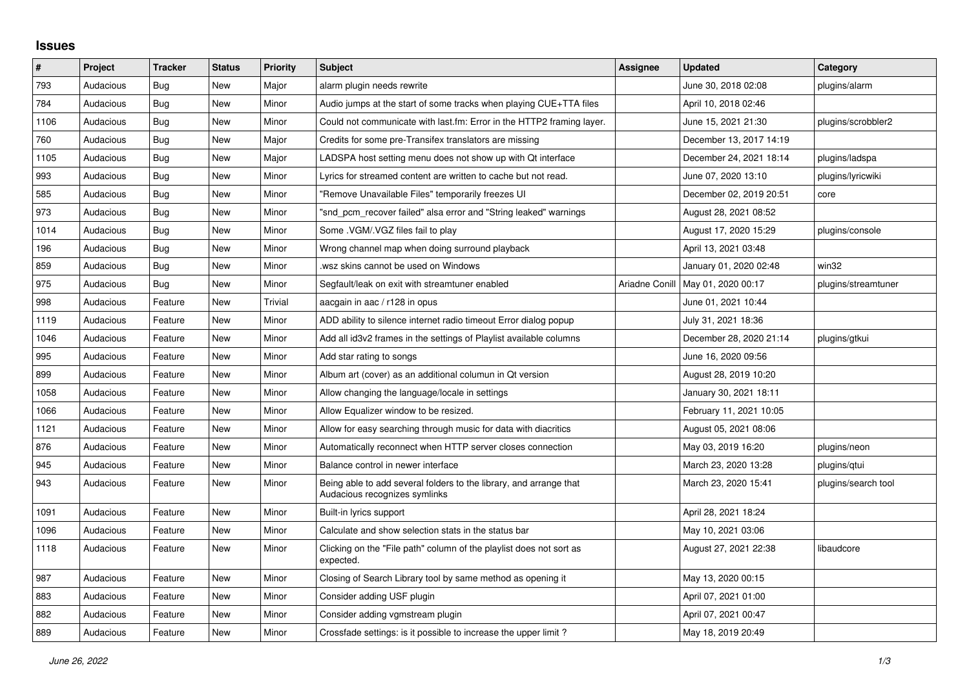## **Issues**

| #    | Project   | <b>Tracker</b> | <b>Status</b> | <b>Priority</b> | <b>Subject</b>                                                                                      | <b>Assignee</b> | <b>Updated</b>                      | Category            |
|------|-----------|----------------|---------------|-----------------|-----------------------------------------------------------------------------------------------------|-----------------|-------------------------------------|---------------------|
| 793  | Audacious | Bug            | <b>New</b>    | Major           | alarm plugin needs rewrite                                                                          |                 | June 30, 2018 02:08                 | plugins/alarm       |
| 784  | Audacious | <b>Bug</b>     | <b>New</b>    | Minor           | Audio jumps at the start of some tracks when playing CUE+TTA files                                  |                 | April 10, 2018 02:46                |                     |
| 1106 | Audacious | Bug            | <b>New</b>    | Minor           | Could not communicate with last.fm: Error in the HTTP2 framing layer.                               |                 | June 15, 2021 21:30                 | plugins/scrobbler2  |
| 760  | Audacious | <b>Bug</b>     | <b>New</b>    | Major           | Credits for some pre-Transifex translators are missing                                              |                 | December 13, 2017 14:19             |                     |
| 1105 | Audacious | <b>Bug</b>     | <b>New</b>    | Major           | LADSPA host setting menu does not show up with Qt interface                                         |                 | December 24, 2021 18:14             | plugins/ladspa      |
| 993  | Audacious | Bug            | <b>New</b>    | Minor           | Lyrics for streamed content are written to cache but not read.                                      |                 | June 07, 2020 13:10                 | plugins/lyricwiki   |
| 585  | Audacious | <b>Bug</b>     | <b>New</b>    | Minor           | "Remove Unavailable Files" temporarily freezes UI                                                   |                 | December 02, 2019 20:51             | core                |
| 973  | Audacious | Bug            | <b>New</b>    | Minor           | "snd_pcm_recover failed" alsa error and "String leaked" warnings                                    |                 | August 28, 2021 08:52               |                     |
| 1014 | Audacious | Bug            | <b>New</b>    | Minor           | Some .VGM/.VGZ files fail to play                                                                   |                 | August 17, 2020 15:29               | plugins/console     |
| 196  | Audacious | <b>Bug</b>     | <b>New</b>    | Minor           | Wrong channel map when doing surround playback                                                      |                 | April 13, 2021 03:48                |                     |
| 859  | Audacious | Bug            | <b>New</b>    | Minor           | wsz skins cannot be used on Windows.                                                                |                 | January 01, 2020 02:48              | win32               |
| 975  | Audacious | <b>Bug</b>     | <b>New</b>    | Minor           | Segfault/leak on exit with streamtuner enabled                                                      |                 | Ariadne Conill   May 01, 2020 00:17 | plugins/streamtuner |
| 998  | Audacious | Feature        | <b>New</b>    | <b>Trivial</b>  | aacgain in aac / r128 in opus                                                                       |                 | June 01, 2021 10:44                 |                     |
| 1119 | Audacious | Feature        | <b>New</b>    | Minor           | ADD ability to silence internet radio timeout Error dialog popup                                    |                 | July 31, 2021 18:36                 |                     |
| 1046 | Audacious | Feature        | New           | Minor           | Add all id3v2 frames in the settings of Playlist available columns                                  |                 | December 28, 2020 21:14             | plugins/gtkui       |
| 995  | Audacious | Feature        | <b>New</b>    | Minor           | Add star rating to songs                                                                            |                 | June 16, 2020 09:56                 |                     |
| 899  | Audacious | Feature        | <b>New</b>    | Minor           | Album art (cover) as an additional columun in Qt version                                            |                 | August 28, 2019 10:20               |                     |
| 1058 | Audacious | Feature        | <b>New</b>    | Minor           | Allow changing the language/locale in settings                                                      |                 | January 30, 2021 18:11              |                     |
| 1066 | Audacious | Feature        | <b>New</b>    | Minor           | Allow Equalizer window to be resized.                                                               |                 | February 11, 2021 10:05             |                     |
| 1121 | Audacious | Feature        | <b>New</b>    | Minor           | Allow for easy searching through music for data with diacritics                                     |                 | August 05, 2021 08:06               |                     |
| 876  | Audacious | Feature        | <b>New</b>    | Minor           | Automatically reconnect when HTTP server closes connection                                          |                 | May 03, 2019 16:20                  | plugins/neon        |
| 945  | Audacious | Feature        | <b>New</b>    | Minor           | Balance control in newer interface                                                                  |                 | March 23, 2020 13:28                | plugins/qtui        |
| 943  | Audacious | Feature        | <b>New</b>    | Minor           | Being able to add several folders to the library, and arrange that<br>Audacious recognizes symlinks |                 | March 23, 2020 15:41                | plugins/search tool |
| 1091 | Audacious | Feature        | <b>New</b>    | Minor           | Built-in lyrics support                                                                             |                 | April 28, 2021 18:24                |                     |
| 1096 | Audacious | Feature        | <b>New</b>    | Minor           | Calculate and show selection stats in the status bar                                                |                 | May 10, 2021 03:06                  |                     |
| 1118 | Audacious | Feature        | New           | Minor           | Clicking on the "File path" column of the playlist does not sort as<br>expected.                    |                 | August 27, 2021 22:38               | libaudcore          |
| 987  | Audacious | Feature        | <b>New</b>    | Minor           | Closing of Search Library tool by same method as opening it                                         |                 | May 13, 2020 00:15                  |                     |
| 883  | Audacious | Feature        | New           | Minor           | Consider adding USF plugin                                                                          |                 | April 07, 2021 01:00                |                     |
| 882  | Audacious | Feature        | New           | Minor           | Consider adding vgmstream plugin                                                                    |                 | April 07, 2021 00:47                |                     |
| 889  | Audacious | Feature        | <b>New</b>    | Minor           | Crossfade settings: is it possible to increase the upper limit?                                     |                 | May 18, 2019 20:49                  |                     |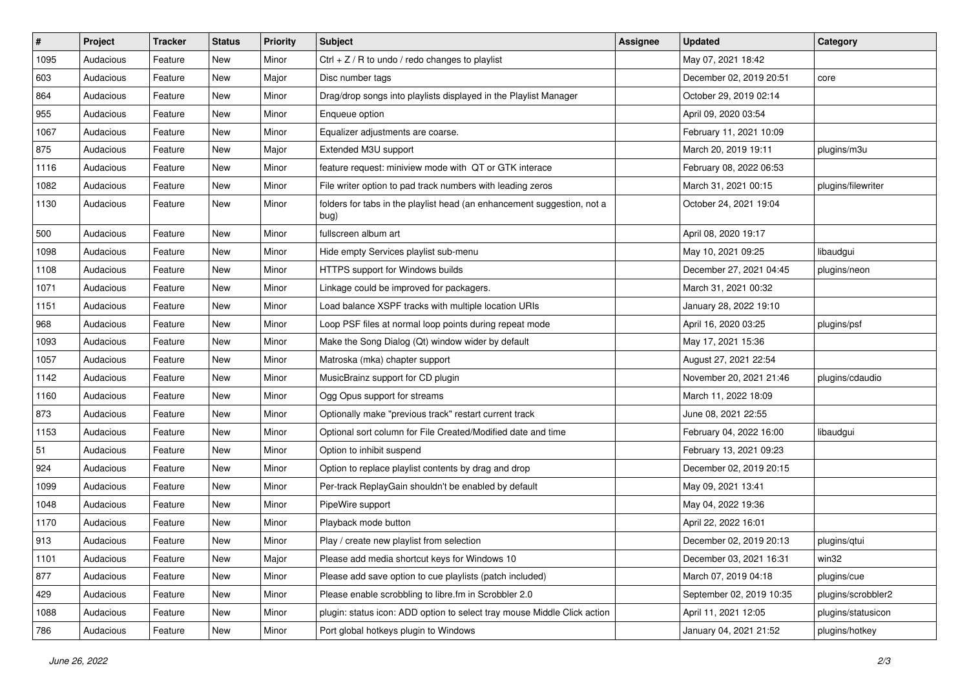| $\vert$ # | Project   | <b>Tracker</b> | <b>Status</b> | <b>Priority</b> | <b>Subject</b>                                                                  | <b>Assignee</b> | <b>Updated</b>           | Category           |
|-----------|-----------|----------------|---------------|-----------------|---------------------------------------------------------------------------------|-----------------|--------------------------|--------------------|
| 1095      | Audacious | Feature        | New           | Minor           | $Ctrl + Z / R$ to undo / redo changes to playlist                               |                 | May 07, 2021 18:42       |                    |
| 603       | Audacious | Feature        | New           | Major           | Disc number tags                                                                |                 | December 02, 2019 20:51  | core               |
| 864       | Audacious | Feature        | New           | Minor           | Drag/drop songs into playlists displayed in the Playlist Manager                |                 | October 29, 2019 02:14   |                    |
| 955       | Audacious | Feature        | New           | Minor           | Enqueue option                                                                  |                 | April 09, 2020 03:54     |                    |
| 1067      | Audacious | Feature        | New           | Minor           | Equalizer adjustments are coarse.                                               |                 | February 11, 2021 10:09  |                    |
| 875       | Audacious | Feature        | New           | Major           | Extended M3U support                                                            |                 | March 20, 2019 19:11     | plugins/m3u        |
| 1116      | Audacious | Feature        | New           | Minor           | feature request: miniview mode with QT or GTK interace                          |                 | February 08, 2022 06:53  |                    |
| 1082      | Audacious | Feature        | New           | Minor           | File writer option to pad track numbers with leading zeros                      |                 | March 31, 2021 00:15     | plugins/filewriter |
| 1130      | Audacious | Feature        | New           | Minor           | folders for tabs in the playlist head (an enhancement suggestion, not a<br>bug) |                 | October 24, 2021 19:04   |                    |
| 500       | Audacious | Feature        | New           | Minor           | fullscreen album art                                                            |                 | April 08, 2020 19:17     |                    |
| 1098      | Audacious | Feature        | New           | Minor           | Hide empty Services playlist sub-menu                                           |                 | May 10, 2021 09:25       | libaudgui          |
| 1108      | Audacious | Feature        | New           | Minor           | HTTPS support for Windows builds                                                |                 | December 27, 2021 04:45  | plugins/neon       |
| 1071      | Audacious | Feature        | New           | Minor           | Linkage could be improved for packagers.                                        |                 | March 31, 2021 00:32     |                    |
| 1151      | Audacious | Feature        | New           | Minor           | Load balance XSPF tracks with multiple location URIs                            |                 | January 28, 2022 19:10   |                    |
| 968       | Audacious | Feature        | New           | Minor           | Loop PSF files at normal loop points during repeat mode                         |                 | April 16, 2020 03:25     | plugins/psf        |
| 1093      | Audacious | Feature        | New           | Minor           | Make the Song Dialog (Qt) window wider by default                               |                 | May 17, 2021 15:36       |                    |
| 1057      | Audacious | Feature        | New           | Minor           | Matroska (mka) chapter support                                                  |                 | August 27, 2021 22:54    |                    |
| 1142      | Audacious | Feature        | New           | Minor           | MusicBrainz support for CD plugin                                               |                 | November 20, 2021 21:46  | plugins/cdaudio    |
| 1160      | Audacious | Feature        | New           | Minor           | Ogg Opus support for streams                                                    |                 | March 11, 2022 18:09     |                    |
| 873       | Audacious | Feature        | New           | Minor           | Optionally make "previous track" restart current track                          |                 | June 08, 2021 22:55      |                    |
| 1153      | Audacious | Feature        | New           | Minor           | Optional sort column for File Created/Modified date and time                    |                 | February 04, 2022 16:00  | libaudgui          |
| 51        | Audacious | Feature        | New           | Minor           | Option to inhibit suspend                                                       |                 | February 13, 2021 09:23  |                    |
| 924       | Audacious | Feature        | New           | Minor           | Option to replace playlist contents by drag and drop                            |                 | December 02, 2019 20:15  |                    |
| 1099      | Audacious | Feature        | New           | Minor           | Per-track ReplayGain shouldn't be enabled by default                            |                 | May 09, 2021 13:41       |                    |
| 1048      | Audacious | Feature        | New           | Minor           | PipeWire support                                                                |                 | May 04, 2022 19:36       |                    |
| 1170      | Audacious | Feature        | New           | Minor           | Playback mode button                                                            |                 | April 22, 2022 16:01     |                    |
| 913       | Audacious | Feature        | New           | Minor           | Play / create new playlist from selection                                       |                 | December 02, 2019 20:13  | plugins/qtui       |
| 1101      | Audacious | Feature        | New           | Major           | Please add media shortcut keys for Windows 10                                   |                 | December 03, 2021 16:31  | win32              |
| 877       | Audacious | Feature        | New           | Minor           | Please add save option to cue playlists (patch included)                        |                 | March 07, 2019 04:18     | plugins/cue        |
| 429       | Audacious | Feature        | New           | Minor           | Please enable scrobbling to libre.fm in Scrobbler 2.0                           |                 | September 02, 2019 10:35 | plugins/scrobbler2 |
| 1088      | Audacious | Feature        | New           | Minor           | plugin: status icon: ADD option to select tray mouse Middle Click action        |                 | April 11, 2021 12:05     | plugins/statusicon |
| 786       | Audacious | Feature        | New           | Minor           | Port global hotkeys plugin to Windows                                           |                 | January 04, 2021 21:52   | plugins/hotkey     |